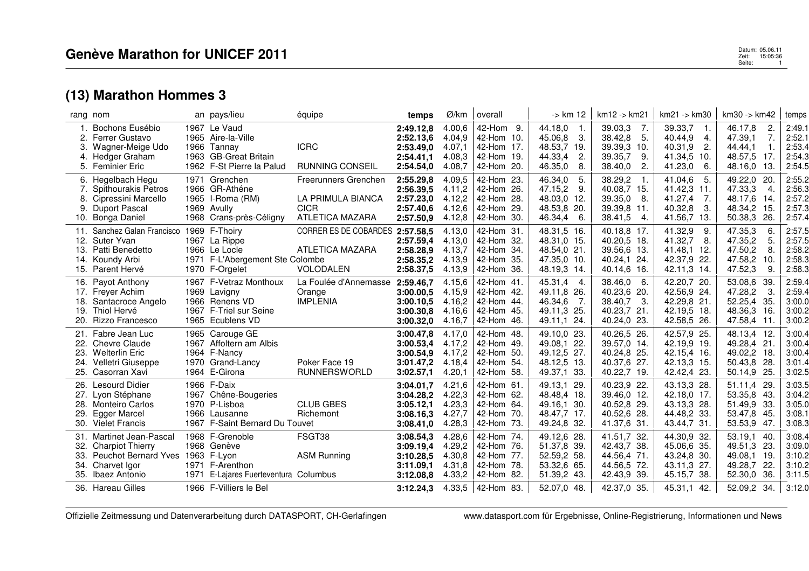| rang nom          |                                                                                                                                                   |      | an pays/lieu                                                                                                    | équipe                                                                                    | temps                                                                      | Ø/km                                                     | overall                                                                               | -> km 12                                                                                    | $km12 - 5km21$                                                                         | km21 -> km30                                                                                   | km30 -> km42                                                                                                 | temps                                                    |
|-------------------|---------------------------------------------------------------------------------------------------------------------------------------------------|------|-----------------------------------------------------------------------------------------------------------------|-------------------------------------------------------------------------------------------|----------------------------------------------------------------------------|----------------------------------------------------------|---------------------------------------------------------------------------------------|---------------------------------------------------------------------------------------------|----------------------------------------------------------------------------------------|------------------------------------------------------------------------------------------------|--------------------------------------------------------------------------------------------------------------|----------------------------------------------------------|
| 3.<br>4.          | Bochons Eusébio<br>2. Ferrer Gustavo<br>Wagner-Meige Udo<br>Hedger Graham<br>5. Feminier Eric                                                     |      | 1967 Le Vaud<br>1965 Aire-la-Ville<br>1966 Tannay<br>1963 GB-Great Britain<br>1962 F-St Pierre la Palud         | <b>ICRC</b><br><b>RUNNING CONSEIL</b>                                                     | 2:49.12.8<br>2:52.13,6<br>2:53.49.0<br>2:54.41,1<br>2:54.54,0              | 4.00,6<br>4.04,9<br>4.07,1<br>4.08.3<br>4.08,7           | 42-Hom 9.<br>42-Hom 10.<br>42-Hom 17.<br>42-Hom<br>- 19.<br>42-Hom 20.                | 44.18,0<br>$-1.$<br>45.06.8<br>3.<br>48.53,7 19.<br>44.33,4<br>2.<br>46.35,0<br>8.          | 39.03,3<br>7.<br>38.42,8<br>5.<br>39.39,3 10.<br>39.35,7<br>9.<br>38.40,0<br>2.        | 39.33,7<br>-1.<br>40.44,9<br>4.<br>40.31,9<br>$\mathbf{2}$<br>41.34,5<br>-10.<br>41.23,0<br>6. | 46.17,8<br>2.<br>7.<br>47.39.1<br>44.44.1<br>1.<br>48.57,5<br>17.<br>48.16,0<br>13.                          | 2:49.1<br>2:52.1<br>2:53.4<br>2:54.3<br>2:54.5           |
| 8.<br>9.          | 6. Hegelbach Hegu<br>7. Spithourakis Petros<br>Cipressini Marcello<br>Duport Pascal<br>10. Bonga Daniel                                           |      | 1971 Grenchen<br>1966 GR-Athéne<br>1965 I-Roma (RM)<br>1969 Avully<br>1968 Crans-près-Céligny                   | <b>Freerunners Grenchen</b><br>LA PRIMULA BIANCA<br><b>CICR</b><br><b>ATLETICA MAZARA</b> | 2:55.29,8<br>2:56.39.5<br>2:57.23,0<br>2:57.40,6<br>2:57.50,9              | 4.09.5<br>4.11,2<br>4.12,2<br>4.12,6<br>4.12,8           | 42-Hom 23.<br>42-Hom 26.<br>42-Hom 28.<br>42-Hom<br>-29.<br>42-Hom 30.                | 46.34,0<br>5.<br>47.15,2<br>9.<br>48.03.0 12.<br>48.53,8 20.<br>46.34,4<br>- 6.             | 38.29,2<br>40.08,7 15.<br>39.35,0<br>- 8.<br>39.39,8 11.<br>38.41,5<br>4.              | 41.04,6<br>5.<br>41.42,3<br>11.<br>41.27,4<br>7.<br>40.32,8<br>3.<br>41.56,7 13.               | 49.22,0<br>-20.<br>47.33,3<br>$\overline{4}$<br>48.17,6<br>-14.<br>48.34,2<br>-15.<br>50.38,3<br>26.         | 2:55.2<br>2:56.3<br>2:57.2<br>2:57.3<br>2:57.4           |
| 12.<br>13.        | 11. Sanchez Galan Francisco<br>Suter Yvan<br>Patti Benedetto<br>14. Koundy Arbi<br>15. Parent Hervé                                               |      | 1969 F-Thoiry<br>1967 La Rippe<br>1966 Le Locle<br>1971 F-L'Abergement Ste Colombe<br>1970 F-Orgelet            | CORRER ES DE COBARDES 2:57.58,5<br>ATLETICA MAZARA<br><b>VOLODALEN</b>                    | 2:57.59,4<br>2:58.28,9<br>2:58.35,2<br>2:58.37,5                           | 4.13,0<br>4.13,0<br>4.13,7<br>4.13,9<br>4.13,9           | 42-Hom 31.<br>42-Hom 32.<br>34.<br>42-Hom<br>42-Hom 35.<br>42-Hom 36.                 | 48.31,5 16.<br>48.31,0 15.<br>48.54,0 21.<br>47.35,0 10.<br>48.19,3 14.                     | 40.18,8 17.<br>40.20,5 18.<br>39.56,6 13.<br>40.24,1 24.<br>40.14,6 16.                | 41.32,9<br>9.<br>41.32,7<br>8.<br>41.48,1 12.<br>42.37,9 22.<br>42.11,3 14.                    | 47.35,3<br>-6.<br>47.35,2<br>5 <sub>1</sub><br>47.50,2<br>8.<br>47.58,2<br>10.<br>9.<br>47.52,3              | 2:57.5<br>2:57.5<br>2:58.2<br>2:58.3<br>2:58.3           |
| 19.               | 16. Payot Anthony<br>17. Freyer Achim<br>18. Santacroce Angelo<br>Thiol Hervé<br>20. Rizzo Francesco                                              |      | 1967 F-Vetraz Monthoux<br>1969 Lavigny<br>1966 Renens VD<br>1967 F-Triel sur Seine<br>1965 Ecublens VD          | La Foulée d'Annemasse 2:59.46,7<br>Orange<br><b>IMPLENIA</b>                              | 3:00.00,5<br>3:00.10.5<br>3:00.30.8<br>3:00.32,0                           | 4.15.6<br>4.15.9<br>4.16.2<br>4.16.6<br>4.16,7           | 42-Hom 41.<br>42-Hom 42.<br>42-Hom 44.<br>42-Hom 45.<br>42-Hom<br>-46.                | 45.31,4<br>- 4.<br>49.11.8 26.<br>46.34,6<br>$\overline{7}$ .<br>49.11.3 25.<br>49.11,1 24. | 38.46,0 6.<br>40.23,6 20.<br>38.40,7 3.<br>40.23,7 21<br>40.24,0 23.                   | 42.20,7 20.<br>42.56,9 24.<br>42.29,8 21.<br>42.19.5 18.<br>42.58,5 26.                        | 53.08,6<br>-39<br>47.28,2<br>-3.<br>52.25,4<br>-35.<br>16.<br>48.36,3<br>47.58,4<br>$-11.$                   | 2:59.4<br>2:59.4<br>3:00.0<br>3:00.2<br>3:00.2           |
| 23.<br>24.<br>25. | 21. Fabre Jean Luc<br>22. Chevre Claude<br><b>Welterlin Eric</b><br>Velletri Giuseppe<br>Casorran Xavi                                            |      | 1965 Carouge GE<br>1967 Affoltern am Albis<br>1964 F-Nancy<br>1970 Grand-Lancy<br>1964 E-Girona                 | Poker Face 19<br><b>RUNNERSWORLD</b>                                                      | 3:00.47,8<br>3:00.53,4<br>3:00.54,9<br>3:01.47,2<br>3:02.57,1              | 4.17,0<br>4.17,2<br>4.17,2<br>4.18,4<br>4.20,1           | 42-Hom 48.<br>42-Hom 49.<br>42-Hom<br>-50.<br>42-Hom 54.<br>42-Hom 58.                | 49.10,0 23.<br>49.08.1 22.<br>49.12,5 27.<br>48.12,5 13.<br>49.37,1 33.                     | 40.26,5 26.<br>39.57,0 14.<br>40.24,8 25.<br>40.37.6 27.<br>40.22,7 19.                | 42.57,9 25.<br>42.19.9 19.<br>42.15,4 16.<br>42.13,3 15.<br>42.42,4 23.                        | 48.13,4 12.<br>49.28,4<br>- 21.<br>49.02,2<br>18.<br>50.43,8<br>-28.<br>-25.<br>50.14,9                      | 3:00.4<br>3:00.4<br>3:00.4<br>3:01.4<br>3:02.5           |
| 27.<br>28.<br>29. | 26. Lesourd Didier<br>Lyon Stéphane<br><b>Monteiro Carlos</b><br><b>Egger Marcel</b><br>30. Vielet Francis                                        |      | 1966 F-Daix<br>1967 Chêne-Bougeries<br>1970 P-Lisboa<br>1966 Lausanne<br>1967 F-Saint Bernard Du Touvet         | <b>CLUB GBES</b><br>Richemont                                                             | 3:04.01.7<br>3:04.28,2<br>3:05.12,1<br>3:08.16,3<br>3:08.41,0              | 4.21,6<br>4.22,3<br>4.23,3<br>4.27,7<br>4.28,3           | 42-Hom 61.<br>42-Hom 62.<br>42-Hom 64.<br>42-Hom 70.<br>42-Hom 73.                    | 49.13.1 29.<br>48.48,4 18.<br>49.16.1 30.<br>48.47,7 17.<br>49.24,8 32.                     | 40.23,9 22.<br>39.46.0 12.<br>40.52,8 29.<br>40.52,6 28.<br>41.37,6 31.                | 43.13,3 28.<br>42.18,0 17.<br>43.13,3 28.<br>44.48,2 33.<br>43.44,7 31.                        | 51.11.4<br>-29.<br>53.35,8<br>43.<br>51.49,9<br>-33.<br>53.47,8<br>45<br>53.53,9 47.                         | 3:03.5<br>3:04.2<br>3:05.0<br>3:08.1<br>3:08.3           |
| 32.<br>33.<br>34. | 31. Martinet Jean-Pascal<br><b>Charpiot Thierry</b><br>Peuchot Bernard Yves 1963 F-Lyon<br>Charvet Igor<br>35. Ibaez Antonio<br>36. Hareau Gilles | 1971 | 1968 F-Grenoble<br>1968 Genève<br>1971 F-Arenthon<br>E-Lajares Fuerteventura Columbus<br>1966 F-Villiers le Bel | FSGT38<br><b>ASM Running</b>                                                              | 3:08.54,3<br>3:09.19,4<br>3:10.28,5<br>3:11.09,1<br>3:12.08,8<br>3:12.24.3 | 4.28,6<br>4.29,2<br>4.30,8<br>4.31,8<br>4.33,2<br>4.33,5 | 42-Hom 74.<br>42-Hom 76.<br>- 77.<br>42-Hom<br>42-Hom 78.<br>42-Hom 82.<br>42-Hom 83. | 49.12,6 28.<br>51.37,8 39.<br>52.59,2 58.<br>53.32,6 65.<br>51.39,2 43.<br>52.07,0 48.      | 41.51,7 32.<br>42.43,7 38.<br>44.56,4 71.<br>44.56,5 72.<br>42.43,9 39.<br>42.37,0 35. | 44.30,9 32.<br>45.06,6 35.<br>43.24,8 30.<br>43.11,3 27.<br>45.15,7 38.<br>45.31,1 42.         | 53.19,1<br>40.<br>49.51,3<br>-23.<br>-19.<br>49.08,1<br>49.28,7<br>-22.<br>52.30,0<br>36.<br>52.09,2<br>-34. | 3:08.4<br>3:09.0<br>3:10.2<br>3:10.2<br>3:11.5<br>3:12.0 |

Offizielle Zeitmessung und Datenverarbeitung durch DATASPORT, CH-Gerlafingen www.datasport.com für Ergebnisse, Online-Registrierung, Informationen und News

 Datum: 05.06.11 Zeit: 15:05:36 Datum: 05.06.11<br>Zeit: 15:05:36<br>Seite: 1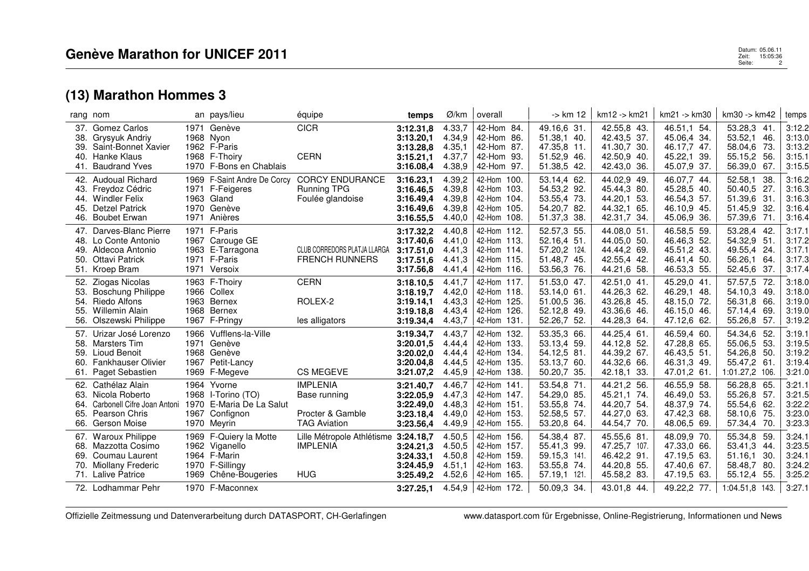|                          | rang nom                                                                                                                          | an pays/lieu                                                                                                           | équipe                                                                     | temps                                                         | Ø/km                                           | overall                                                                                           | -> km 12                                                                                 | km12 -> km21                                                                            | km21 -> km30                                                                           | km30 -> km42                                                                                        | temps                                                    |
|--------------------------|-----------------------------------------------------------------------------------------------------------------------------------|------------------------------------------------------------------------------------------------------------------------|----------------------------------------------------------------------------|---------------------------------------------------------------|------------------------------------------------|---------------------------------------------------------------------------------------------------|------------------------------------------------------------------------------------------|-----------------------------------------------------------------------------------------|----------------------------------------------------------------------------------------|-----------------------------------------------------------------------------------------------------|----------------------------------------------------------|
| 38.                      | 37. Gomez Carlos<br>Grysyuk Andriy<br>39. Saint-Bonnet Xavier<br>40. Hanke Klaus<br>41. Baudrand Yves                             | 1971 Genève<br>1968 Nyon<br>1962 F-Paris<br>1968 F-Thoiry<br>1970 F-Bons en Chablais                                   | <b>CICR</b><br><b>CERN</b>                                                 | 3:12.31.8<br>3:13.20,1<br>3:13.28.8<br>3:15.21,1<br>3:16.08,4 | 4.33,7<br>4.34,9<br>4.35,1<br>4.37,7<br>4.38,9 | 42-Hom 84.<br>42-Hom 86.<br>42-Hom 87.<br>42-Hom 93.<br>42-Hom 97.                                | 49.16,6 31.<br>51.38,1 40.<br>47.35,8 11.<br>51.52,9 46.<br>51.38,5 42.                  | 42.55,8 43.<br>42.43,5 37.<br>41.30,7 30.<br>42.50,9 40.<br>42.43,0 36.                 | 46.51,1 54.<br>45.06,4 34.<br>46.17,7 47.<br>45.22,1 39.<br>45.07,9 37.                | 53.28,3<br>41.<br>53.52,1<br>46.<br>-73.<br>58.04,6<br>55.15,2<br>-56.<br>56.39,0<br>67.            | 3:12.2<br>3:13.0<br>3:13.2<br>3:15.1<br>3:15.5           |
| 44.                      | 42. Audoual Richard<br>43. Freydoz Cédric<br><b>Windler Felix</b><br>45. Detzel Patrick<br>46. Boubet Erwan                       | 1969 F-Saint Andre De Corcy<br>1971 F-Feigeres<br>1963 Gland<br>1970 Genève<br>1971 Anières                            | <b>CORCY ENDURANCE</b><br><b>Running TPG</b><br>Foulée glandoise           | 3:16.23,1<br>3:16.46.5<br>3:16.49,4<br>3:16.49.6<br>3:16.55,5 | 4.39,2<br>4.39.8<br>4.39,8<br>4.39.8<br>4.40,0 | 42-Hom 100.<br>42-Hom 103.<br>42-Hom 104.<br>42-Hom 105.<br>42-Hom 108.                           | 53.14,4 62.<br>54.53,2 92.<br>53.55,4 73.<br>54.20,7 82.<br>51.37,3 38.                  | 44.02,9 49.<br>45.44.3 80.<br>44.20.1 53.<br>44.32,1 65.<br>42.31,7 34.                 | 46.07,7 44.<br>45.28,5 40.<br>46.54,3 57.<br>46.10,9 45.<br>45.06,9 36.                | 52.58,1<br>38.<br>50.40,5<br>-27.<br>51.39,6<br>-31<br>51.45,9<br>-32.<br>57.39,6<br>-71.           | 3:16.2<br>3:16.3<br>3:16.3<br>3:16.4<br>3:16.4           |
| 48.                      | 47. Darves-Blanc Pierre<br>Lo Conte Antonio<br>49. Aldecoa Antonio<br>50. Ottavi Patrick<br>51. Kroep Bram                        | 1971 F-Paris<br>1967 Carouge GE<br>1963 E-Tarragona<br>1971 F-Paris<br>1971 Versoix                                    | CLUB CORREDORS PLATJA LLARGA<br><b>FRENCH RUNNERS</b>                      | 3:17.32,2<br>3:17.40.6<br>3:17.51.0<br>3:17.51.6<br>3:17.56.8 | 4.40,8<br>4.41,0<br>4.41.3<br>4.41,3<br>4.41,4 | 42-Hom 112.<br>42-Hom 113.<br>42-Hom 114.<br>42-Hom 115.<br>42-Hom 116.                           | 52.57,3 55.<br>52.16.4 51.<br>57.20,2 124.<br>51.48,7 45.<br>53.56,3 76.                 | 44.08,0 51.<br>44.05.0 50.<br>44.44,2 69.<br>42.55,4 42.<br>44.21.6 58.                 | 46.58,5 59.<br>46.46.3 52.<br>45.51,2 43.<br>46.41.4 50.<br>46.53,3 55.                | 53.28,4<br>-42<br>54.32,9<br>-51<br>49.55,4<br>24.<br>56.26,1<br>64.<br>37.<br>52.45,6              | 3:17.1<br>3:17.2<br>3:17.1<br>3:17.3<br>3:17.4           |
| 52.<br>53.<br>55.<br>56. | Ziogas Nicolas<br><b>Boschung Philippe</b><br>54. Riedo Alfons<br><b>Willemin Alain</b><br>Olszewski Philippe                     | 1963 F-Thoiry<br>1966 Collex<br>1963 Bernex<br>1968 Bernex<br>1967 F-Pringy                                            | <b>CERN</b><br>ROLEX-2<br>les alligators                                   | 3:18.10,5<br>3:18.19.7<br>3:19.14,1<br>3:19.18.8<br>3:19.34,4 | 4.41,7<br>4.42,0<br>4.43,3<br>4.43,4<br>4.43,7 | 42-Hom 117.<br>42-Hom 118.<br>42-Hom 125.<br>42-Hom 126.<br>42-Hom 131.                           | 51.53,0 47.<br>53.14.0 61.<br>51.00.5 36.<br>52.12.8 49.<br>52.26,7 52.                  | 42.51,0 41.<br>44.26.3 62.<br>43.26,8 45.<br>43.36.6 46.<br>44.28,3 64.                 | 45.29,0 41.<br>46.29,1 48.<br>48.15.0 72.<br>46.15.0 46.<br>47.12,6 62.                | 57.57,5<br>72<br>54.10.3 49.<br>56.31,8 66.<br>57.14,4<br>69.<br>55.26,8<br>57.                     | 3:18.0<br>3:18.0<br>3:19.0<br>3:19.0<br>3:19.2           |
| 60.                      | 57. Urizar José Lorenzo<br>58. Marsters Tim<br>59. Lioud Benoit<br><b>Fankhauser Olivier</b><br>61. Paget Sebastien               | 1966 Vufflens-la-Ville<br>1971 Genève<br>1968 Genève<br>1967 Petit-Lancy<br>1969 F-Megeve                              | <b>CS MEGEVE</b>                                                           | 3:19.34,7<br>3:20.01.5<br>3:20.02.0<br>3:20.04.8<br>3:21.07,2 | 4.43,7<br>4.44,4<br>4.44,4<br>4.44,5<br>4.45,9 | 42-Hom 132.<br>42-Hom 133.<br>42-Hom 134.<br>42-Hom 135.<br>42-Hom 138.                           | 53.35,3 66.<br>53.13,4 59.<br>54.12,5 81.<br>53.13,7 60.<br>50.20,7 35.                  | 44.25,4 61.<br>44.12.8 52.<br>44.39.2 67.<br>44.32,6 66.<br>42.18,1 33.                 | 46.59,4 60.<br>47.28.8 65.<br>46.43.5 51.<br>46.31,3 49.<br>47.01,2 61.                | 54.34,6<br>52.<br>55.06,5<br>-53.<br>54.26,8<br>-50.<br>55.47,2<br>-61<br>1:01.27,2 106.            | 3:19.1<br>3:19.5<br>3:19.2<br>3:19.4<br>3:21.0           |
| 64.<br>65.               | 62. Cathélaz Alain<br>63. Nicola Roberto<br>Carbonell Cifre Joan Antoni<br>Pearson Chris<br>66. Gerson Moise                      | 1964 Yvorne<br>1968 I-Torino (TO)<br>1970 E-Maria De La Salut<br>1967 Confignon<br>1970 Meyrin                         | <b>IMPLENIA</b><br>Base running<br>Procter & Gamble<br><b>TAG Aviation</b> | 3:21.40,7<br>3:22.05,9<br>3:22.49,0<br>3:23.18,4<br>3:23.56,4 | 4.46,7<br>4.47,3<br>4.48,3<br>4.49,0<br>4.49,9 | 42-Hom 141.<br>42-Hom 147.<br>42-Hom 151.<br>42-Hom 153.<br>42-Hom 155.                           | 53.54,8 71.<br>54.29,0 85.<br>53.55,8 74.<br>52.58,5 57.<br>53.20,8 64.                  | 44.21,2 56.<br>45.21,1 74.<br>44.20,7 54.<br>44.27,0 63.<br>44.54,7 70.                 | 46.55,9 58.<br>46.49,0 53.<br>48.37,9 74.<br>47.42,3 68.<br>48.06,5 69.                | 56.28,8 65.<br>55.26,8<br>57.<br>55.54,6<br>62.<br>58.10,6<br>75.<br>57.34,4 70.                    | 3:21.1<br>3:21.5<br>3:22.2<br>3:23.0<br>3:23.3           |
| 69.                      | 67. Waroux Philippe<br>68. Mazzotta Cosimo<br>Coumau Laurent<br>70. Miollany Frederic<br>71. Lalive Patrice<br>72. Lodhammar Pehr | 1969 F-Quiery la Motte<br>1962 Viganello<br>1964 F-Marin<br>1970 F-Sillingy<br>1969 Chêne-Bougeries<br>1970 F-Maconnex | Lille Métropole Athlétisme 3:24.18,7<br><b>IMPLENIA</b><br><b>HUG</b>      | 3:24.21,3<br>3:24.33,1<br>3:24.45.9<br>3:25.49,2              | 4.50,5<br>4.50,5<br>4.50,8<br>4.51,1<br>4.52,6 | 42-Hom 156.<br>42-Hom 157.<br>42-Hom 159.<br>42-Hom 163.<br>42-Hom 165.<br>$4.54.9$   42-Hom 172. | 54.38,4 87.<br>55.41,3 99.<br>59.15,3 141.<br>53.55,8 74.<br>57.19.1 121.<br>50.09,3 34. | 45.55,6 81.<br>47.25,7 107.<br>46.42,2 91.<br>44.20,8 55.<br>45.58,2 83.<br>43.01,8 44. | 48.09,9 70.<br>47.33,0 66.<br>47.19,5 63.<br>47.40,6 67.<br>47.19,5 63.<br>49.22,2 77. | 55.34,8 59.<br>53.41,3<br>44.<br>51.16,1<br>30.<br>58.48,7<br>-80.<br>55.12,4 55.<br>1:04.51,8 143. | 3:24.1<br>3:23.5<br>3:24.1<br>3:24.2<br>3:25.2<br>3:27.1 |
|                          |                                                                                                                                   |                                                                                                                        |                                                                            | 3:27.25.1                                                     |                                                |                                                                                                   |                                                                                          |                                                                                         |                                                                                        |                                                                                                     |                                                          |

Offizielle Zeitmessung und Datenverarbeitung durch DATASPORT, CH-Gerlafingen www.datasport.com für Ergebnisse, Online-Registrierung, Informationen und News

Datum: 05.06.11 **Patum: 05.06.11**<br>2 april - 15:05:36<br>2 seite: 15:05:36 Seite: 2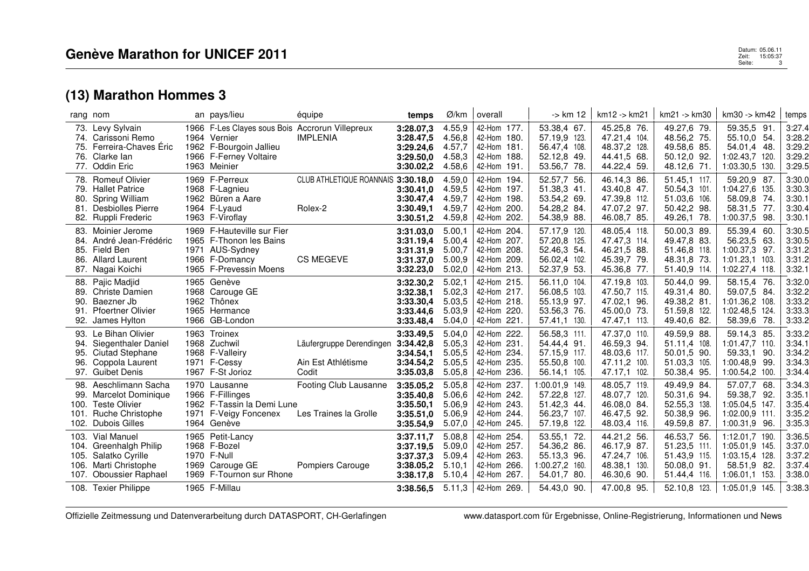| rang nom                             |                                                                                                                             | an pays/lieu                                                                                                                         | équipe                                                  | temps                                                                      | Ø/km                                           | overall                                                                                           | -> km 12                                                                                  | km12 -> km21                                                                             | $km21 - > km30$                                                                            | km30 -> km42                                                                                          | temps                                                    |
|--------------------------------------|-----------------------------------------------------------------------------------------------------------------------------|--------------------------------------------------------------------------------------------------------------------------------------|---------------------------------------------------------|----------------------------------------------------------------------------|------------------------------------------------|---------------------------------------------------------------------------------------------------|-------------------------------------------------------------------------------------------|------------------------------------------------------------------------------------------|--------------------------------------------------------------------------------------------|-------------------------------------------------------------------------------------------------------|----------------------------------------------------------|
| 75.<br>76.<br>77.                    | 73. Levy Sylvain<br>74. Carissoni Remo<br>Ferreira-Chaves Éric<br>Clarke lan<br>Oddin Eric                                  | 1966 F-Les Clayes sous Bois Accrorun Villepreux<br>1964 Vernier<br>1962 F-Bourgoin Jallieu<br>1966 F-Ferney Voltaire<br>1963 Meinier | <b>IMPLENIA</b>                                         | 3:28.07,3<br>3:28.47,5<br>3:29.24.6<br>3:29.50,0<br>3:30.02,2              | 4.55,9<br>4.56,8<br>4.57,7<br>4.58,3<br>4.58,6 | 42-Hom 177.<br>42-Hom 180.<br>42-Hom 181.<br>42-Hom 188.<br>42-Hom 191.                           | 53.38,4 67.<br>57.19.9 123.<br>56.47,4 108.<br>52.12,8 49.<br>53.56,7 78.                 | 45.25,8 76.<br>47.21,4 104.<br>48.37,2 128.<br>44.41,5 68.<br>44.22,4 59.                | 49.27,6 79.<br>48.56,2 75.<br>49.58,6 85.<br>50.12,0 92.<br>48.12,6 71.                    | 59.35,5 91.<br>55.10,0 54.<br>54.01,4<br>- 48.<br>1:02.43,7 120.<br>1:03.30,5 130.                    | 3:27.4<br>3:28.2<br>3:29.2<br>3:29.2<br>3:29.5           |
| 79.<br>80.<br>81.                    | 78. Romeuf Olivier<br><b>Hallet Patrice</b><br>Spring William<br>Desbiolles Pierre<br>82. Ruppli Frederic                   | 1969 F-Perreux<br>1968 F-Lagnieu<br>1962 Büren a Aare<br>1964 F-Lyaud<br>1963 F-Viroflay                                             | CLUB ATHLETIQUE ROANNAIS 3:30.18,0<br>Rolex-2           | 3:30.41.0<br>3:30.47,4<br>3:30.49.1<br>3:30.51,2                           | 4.59,0<br>4.59,5<br>4.59,7<br>4.59,7<br>4.59,8 | 42-Hom 194.<br>42-Hom 197.<br>42-Hom 198.<br>42-Hom 200.<br>42-Hom 202.                           | 52.57,7 56.<br>51.38,3 41.<br>53.54,2 69.<br>54.28,2 84.<br>54.38,9 88.                   | 46.14.3 86.<br>43.40.8 47.<br>47.39,8 112.<br>47.07,2 97.<br>46.08,7 85.                 | 51.45,1 117.<br>50.54,3 101.<br>51.03,6 106.<br>50.42,2 98.<br>49.26,1 78.                 | 59.20,9 87<br>1:04.27.6<br>135<br>58.09,8<br>-74<br>58.31,5 77.<br>1:00.37,5 98.                      | 3:30.0<br>3:30.3<br>3:30.1<br>3:30.4<br>3:30.1           |
| 83.<br>84.<br>85.<br>86.<br>87.      | Moinier Jerome<br>André Jean-Frédéric<br>Field Ben<br><b>Allard Laurent</b><br>Nagai Koichi                                 | 1969 F-Hauteville sur Fier<br>1965 F-Thonon les Bains<br>1971 AUS-Sydney<br>1966 F-Domancy<br>1965 F-Prevessin Moens                 | <b>CS MEGEVE</b>                                        | 3:31.03,0<br>3:31.19,4<br>3:31.31,9<br>3:31.37,0<br>3:32.23.0              | 5.00,1<br>5.00,4<br>5.00,7<br>5.00,9<br>5.02,0 | 42-Hom 204.<br>42-Hom 207.<br>42-Hom 208.<br>42-Hom 209.<br>42-Hom 213.                           | 57.17,9 120.<br>57.20,8 125.<br>52.46,3 54.<br>56.02,4 102.<br>52.37,9 53.                | 48.05,4 118.<br>47.47.3 114.<br>46.21,5 88.<br>45.39,7 79.<br>45.36,8 77.                | 50.00,3 89.<br>49.47,8 83.<br>51.46,8 118.<br>48.31,8 73.<br>51.40,9 114.                  | 55.39,4<br>- 60.<br>56.23,5<br>63.<br>1:00.37,3 97.<br>1:01.23,1 103.<br>1:02.27,4 118.               | 3:30.5<br>3:30.5<br>3:31.2<br>3:31.2<br>3:32.1           |
| 88.<br>89.<br>90.<br>91.             | Pajic Madjid<br><b>Christe Damien</b><br>Baezner Jb<br><b>Pfoertner Olivier</b><br>92. James Hylton                         | 1965 Genève<br>1968 Carouge GE<br>1962 Thônex<br>1965 Hermance<br>1966 GB-London                                                     |                                                         | 3:32.30,2<br>3:32.38,1<br>3:33.30,4<br>3:33.44.6<br>3:33.48,4              | 5.02,1<br>5.02,3<br>5.03,5<br>5.03,9<br>5.04,0 | 42-Hom 215.<br>42-Hom 217.<br>42-Hom 218.<br>42-Hom 220.<br>42-Hom 221.                           | 56.11,0 104.<br>56.08,5 103.<br>55.13,9 97.<br>53.56,3 76.<br>57.41,1 130.                | 47.19,8 103.<br>47.50,7 115.<br>47.02,1 96.<br>45.00.0 73.<br>47.47,1 113.               | 50.44,0 99.<br>49.31,4 80.<br>49.38,2 81.<br>51.59.8 122.<br>49.40,6 82.                   | 58.15,4 76.<br>59.07,5 84.<br>1:01.36,2 108.<br>1:02.48.5 124.<br>58.39,6<br>- 78.                    | 3:32.0<br>3:32.2<br>3:33.2<br>3:33.3<br>3:33.2           |
| 94.<br>95.<br>96.                    | 93. Le Bihan Olivier<br>Siegenthaler Daniel<br>Ciutad Stephane<br>Coppola Laurent<br>97. Guibet Denis                       | 1963 Troinex<br>1968 Zuchwil<br>1968 F-Valleiry<br>1971 F-Cessy<br>1967 F-St Jorioz                                                  | Läufergruppe Derendingen<br>Ain Est Athlétisme<br>Codit | 3:33.49,5<br>3:34.42,8<br>3:34.54.1<br>3:34.54,2<br>3:35.03,8              | 5.04,0<br>5.05,3<br>5.05,5<br>5.05,5<br>5.05,8 | 42-Hom<br>222.<br>42-Hom 231.<br>42-Hom 234.<br>42-Hom 235.<br>42-Hom 236.                        | 56.58,3 111.<br>54.44.4 91.<br>57.15,9 117.<br>55.50,8 100.<br>56.14,1 105.               | 47.37,0 110.<br>46.59,3 94.<br>48.03.6 117.<br>47.11,2 100.<br>47.17,1 102.              | 49.59,9 88.<br>51.11,4 108.<br>50.01.5 90.<br>51.03,3 105.<br>50.38,4 95.                  | 59.14,3 85.<br>1:01.47,7 110.<br>59.33,1<br>-90.<br>1:00.48,9<br>-99.<br>1:00.54,2 100.               | 3:33.2<br>3:34.1<br>3:34.2<br>3:34.3<br>3:34.4           |
| 99.<br>100.<br>101.<br>102.          | 98. Aeschlimann Sacha<br>Marcelot Dominique<br><b>Teste Olivier</b><br><b>Ruche Christophe</b><br><b>Dubois Gilles</b>      | 1970 Lausanne<br>1966 F-Fillinges<br>1962 F-Tassin la Demi Lune<br>1971 F-Veigy Foncenex<br>1964 Genève                              | Footing Club Lausanne<br>Les Traines la Grolle          | 3:35.05.2<br>3:35.40,8<br>3:35.50,1<br>3:35.51,0<br>3:35.54,9              | 5.05,8<br>5.06,6<br>5.06.9<br>5.06,9<br>5.07,0 | 42-Hom 237.<br>42-Hom 242.<br>42-Hom 243.<br>42-Hom 244.<br>42-Hom 245.                           | 1:00.01.9 149.<br>57.22,8 127.<br>51.42,3 44.<br>56.23,7 107.<br>57.19,8 122.             | 48.05,7 119.<br>48.07,7 120.<br>46.08,0 84.<br>46.47,5 92.<br>48.03,4 116.               | 49.49,9 84.<br>50.31,6 94.<br>52.55,3 138.<br>50.38,9 96.<br>49.59,8 87.                   | 57.07,7 68.<br>59.38,7 92.<br>1:05.04,5 147.<br>1:02.00,9 111.<br>1:00.31,9 96.                       | 3:34.3<br>3:35.1<br>3:35.4<br>3:35.2<br>3:35.3           |
| 103.<br>104.<br>105.<br>106.<br>107. | Vial Manuel<br>Greenhalgh Philip<br>Salatko Cyrille<br>Marti Christophe<br><b>Oboussier Raphael</b><br>108. Texier Philippe | 1965 Petit-Lancy<br>1968 F-Bozel<br>1970 F-Null<br>1969 Carouge GE<br>1969 F-Tournon sur Rhone<br>1965 F-Millau                      | Pompiers Carouge                                        | 3:37.11,7<br>3:37.19,5<br>3:37.37,3<br>3:38.05,2<br>3:38.17,8<br>3:38.56,5 | 5.08,8<br>5.09,0<br>5.09,4<br>5.10,1<br>5.10,4 | 42-Hom 254.<br>42-Hom 257.<br>42-Hom 263.<br>42-Hom 266.<br>42-Hom 267.<br>$5.11,3$   42-Hom 269. | 53.55,1 72.<br>54.36,2 86.<br>55.13,3 96.<br>1:00.27,2 160.<br>54.01,7 80.<br>54.43,0 90. | 44.21,2 56.<br>46.17,9 87.<br>47.24,7 106.<br>48.38,1 130.<br>46.30,6 90.<br>47.00,8 95. | 46.53,7 56.<br>51.23,5 111.<br>51.43,9 115.<br>50.08.0 91.<br>51.44,4 116.<br>52.10,8 123. | 1:12.01,7 190.<br>1:05.01.9 145.<br>1:03.15,4 128.<br>58.51,9 82.<br>1:06.01,1 153.<br>1:05.01,9 145. | 3:36.5<br>3:37.0<br>3:37.2<br>3:37.4<br>3:38.0<br>3:38.3 |

Offizielle Zeitmessung und Datenverarbeitung durch DATASPORT, CH-Gerlafingen www.datasport.com für Ergebnisse, Online-Registrierung, Informationen und News

 Datum: 05.06.11 Zeit: 15:05:37 Datum: 05.06.11<br>Zeit: 15:05:37<br>Seite: 3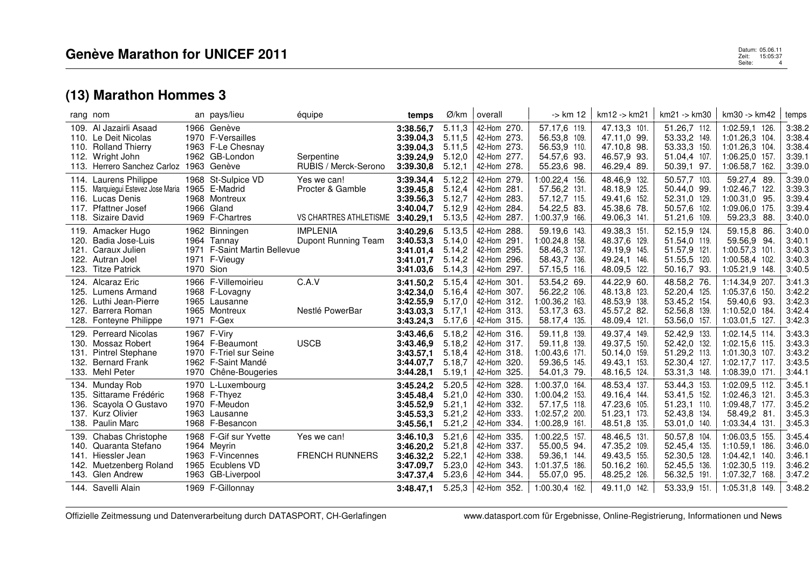| rang nom                                                                                                                                                   | an pays/lieu                                                                                                          | équipe                                                              | temps                                                                      | Ø/km                                           | overall                                                                                           | -> km 12                                                                                         | km12 -> km21                                                                                 | km21 -> km30                                                                                 | km30 -> km42                                                                                             | temps                                                    |
|------------------------------------------------------------------------------------------------------------------------------------------------------------|-----------------------------------------------------------------------------------------------------------------------|---------------------------------------------------------------------|----------------------------------------------------------------------------|------------------------------------------------|---------------------------------------------------------------------------------------------------|--------------------------------------------------------------------------------------------------|----------------------------------------------------------------------------------------------|----------------------------------------------------------------------------------------------|----------------------------------------------------------------------------------------------------------|----------------------------------------------------------|
| 109. Al Jazairli Asaad<br>110. Le Deit Nicolas<br><b>Rolland Thierry</b><br>110.<br>112.<br>Wright John<br>113. Herrero Sanchez Carloz 1963 Genève         | 1966 Genève<br>1970 F-Versailles<br>1963 F-Le Chesnay<br>1962 GB-London                                               | Serpentine<br>RUBIS / Merck-Serono                                  | 3:38.56,7<br>3:39.04,3<br>3:39.04,3<br>3:39.24,9<br>3:39.30,8              | 5.11,3<br>5.11,5<br>5.11,5<br>5.12,0<br>5.12,1 | 42-Hom 270.<br>42-Hom 273.<br>42-Hom 273.<br>42-Hom 277.<br>42-Hom 278.                           | 57.17,6 119.<br>56.53,8 109.<br>56.53,9 110.<br>54.57,6 93.<br>55.23,6 98.                       | 47.13,3 101.<br>47.11.0 99.<br>47.10.8 98.<br>46.57,9 93.<br>46.29,4 89.                     | 51.26,7 112.<br>53.33,2 149.<br>53.33,3 150.<br>51.04,4 107.<br>50.39,1 97.                  | 1:02.59,1 126.<br>1:01.26.3 104.<br>1:01.26.3 104.<br>1:06.25,0 157.<br>1:06.58,7 162.                   | 3:38.2<br>3:38.4<br>3:38.4<br>3:39.1<br>3:39.0           |
| Laurens Philippe<br>114.<br>Marquiequi Estevez Jose Maria<br>115.<br>Lucas Denis<br>116.<br>Pfattner Josef<br>117.<br>118. Sizaire David                   | 1968 St-Sulpice VD<br>1965 E-Madrid<br>1968 Montreux<br>1966 Gland<br>1969 F-Chartres                                 | Yes we can!<br>Procter & Gamble<br>VS CHARTRES ATHLETISME 3:40.29,1 | 3:39.34,4<br>3:39.45,8<br>3:39.56,3<br>3:40.04,7                           | 5.12,2<br>5.12,4<br>5.12,7<br>5.12,9<br>5.13,5 | 42-Hom 279.<br>42-Hom 281.<br>42-Hom 283.<br>42-Hom 284.<br>42-Hom 287.                           | 1:00.22.4 156.<br>57.56,2 131.<br>57.12,7 115.<br>54.22,5 83.<br>1:00.37,9 166.                  | 48.46,9 132.<br>48.18.9 125.<br>49.41.6 152.<br>45.38,6 78.<br>49.06,3 141.                  | 50.57,7 103.<br>50.44,0 99.<br>52.31,0 129.<br>50.57,6 102.<br>51.21,6 109.                  | 59.27,4 89<br>1:02.46.7 122.<br>1:00.31.0 95.<br>1:09.06,0 175.<br>59.23,3 88.                           | 3:39.0<br>3:39.3<br>3:39.4<br>3:39.4<br>3:40.0           |
| 119. Amacker Hugo<br>Badia Jose-Luis<br>120.<br>121.<br>Caraux Julien<br>Autran Joel<br>122.<br>123. Titze Patrick                                         | 1962 Binningen<br>1964 Tannay<br>1971 F-Saint Martin Bellevue<br>1971 F-Vieugy<br>1970 Sion                           | <b>IMPLENIA</b><br>Dupont Running Team                              | 3:40.29,6<br>3:40.53,3<br>3:41.01.4<br>3:41.01,7<br>3:41.03.6              | 5.13,5<br>5.14,0<br>5.14,2<br>5.14,2<br>5.14.3 | 42-Hom 288.<br>42-Hom 291.<br>42-Hom 295.<br>42-Hom 296.<br>42-Hom 297.                           | 59.19,6 143.<br>1:00.24,8 158.<br>58.46,3 137.<br>58.43,7 136.<br>57.15,5 116.                   | 49.38,3 151.<br>48.37,6 129.<br>49.19,9 145.<br>49.24,1 146.<br>48.09,5 122.                 | 52.15,9 124.<br>51.54,0 119.<br>51.57,9 121.<br>51.55,5 120.<br>50.16,7 93.                  | 59.15,8 86.<br>59.56,9 94.<br>1:00.57,3 101.<br>1:00.58.4 102.<br>1:05.21,9 148.                         | 3:40.0<br>3:40.1<br>3:40.3<br>3:40.3<br>3:40.5           |
| <b>Alcaraz Eric</b><br>124.<br>125.<br>Lumens Armand<br>Luthi Jean-Pierre<br>126.<br>127.<br>Barrera Roman<br>Fonteyne Philippe<br>128.                    | 1966 F-Villemoirieu<br>1968 F-Lovagny<br>1965 Lausanne<br>1965 Montreux<br>1971 F-Gex                                 | C.A.V<br>Nestlé PowerBar                                            | 3:41.50,2<br>3:42.34,0<br>3:42.55.9<br>3:43.03.3<br>3:43.24,3              | 5.15,4<br>5.16.4<br>5.17,0<br>5.17,1<br>5.17,6 | 42-Hom 301.<br>42-Hom 307.<br>42-Hom 312.<br>42-Hom 313.<br>42-Hom 315.                           | 53.54,2 69.<br>56.22,2 106.<br>1:00.36,2 163.<br>53.17,3 63.<br>58.17,4 135.                     | 44.22,9 60.<br>48.13,8 123.<br>48.53,9 138.<br>45.57,2 82.<br>48.09,4 121.                   | 48.58,2 76.<br>52.20,4 125.<br>53.45,2 154.<br>52.56,8 139.<br>53.56,0 157.                  | 1:14.34,9 207.<br>1:05.37,6 150.<br>59.40.6 93.<br>1:10.52,0 184.<br>1:03.01,5 127.                      | 3:41.3<br>3:42.2<br>3:42.3<br>3:42.4<br>3:42.3           |
| <b>Perreard Nicolas</b><br>129.<br>130. Mossaz Robert<br><b>Pintrel Stephane</b><br>131.<br>132.<br><b>Bernard Frank</b><br>133. Mehl Peter                | 1967 F-Viry<br>1964 F-Beaumont<br>1970 F-Triel sur Seine<br>1962 F-Saint Mandé<br>1970 Chêne-Bougeries                | <b>USCB</b>                                                         | 3:43.46,6<br>3:43.46,9<br>3:43.57,1<br>3:44.07,7<br>3:44.28,1              | 5.18,2<br>5.18,2<br>5.18,4<br>5.18,7<br>5.19,1 | 42-Hom 316.<br>42-Hom 317.<br>42-Hom 318.<br>42-Hom 320.<br>42-Hom 325.                           | 59.11,8 139.<br>59.11.8 139.<br>1:00.43.6 171.<br>59.36,5 145.<br>54.01,3 79.                    | 49.37,4 149.<br>49.37,5 150.<br>50.14,0 159.<br>49.43,1 153.<br>48.16,5 124.                 | 52.42,9 133.<br>52.42,0 132.<br>51.29,2 113.<br>52.30,4 127.<br>53.31,3 148.                 | 1:02.14,5 114.<br>1:02.15.6 115.<br>1:01.30.3 107.<br>1:02.17.7 117.<br>1:08.39,0 171.                   | 3:43.3<br>3:43.3<br>3:43.2<br>3:43.5<br>3:44.1           |
| 134. Munday Rob<br>Sittarame Frédéric<br>135.<br>Scayola O Gustavo<br>136.<br>137.<br><b>Kurz Olivier</b><br>138. Paulin Marc                              | 1970 L-Luxembourg<br>1968 F-Thyez<br>1970 F-Meudon<br>1963 Lausanne<br>1968 F-Besancon                                |                                                                     | 3:45.24,2<br>3:45.48.4<br>3:45.52,9<br>3:45.53,3<br>3:45.56,1              | 5.20,5<br>5.21,0<br>5.21,1<br>5.21,2<br>5.21,2 | 42-Hom 328.<br>42-Hom 330.<br>42-Hom 332.<br>42-Hom 333.<br>42-Hom 334.                           | 1:00.37,0 164.<br>1:00.04,2 153.<br>57.17,5 118.<br>1:02.57,2 200.<br>1:00.28,9 161.             | 48.53,4 137.<br>49.16,4 144.<br>47.23,6 105.<br>51.23,1 173.<br>48.51,8 135.                 | 53.44,3 153.<br>53.41,5 152.<br>51.23,1 110.<br>52.43,8 134.<br>53.01,0 140.                 | 1:02.09,5 112.<br>1:02.46.3 121<br>1:09.48,7 177.<br>58.49,2 81<br>1:03.34,4 131.                        | 3:45.1<br>3:45.3<br>3:45.2<br>3:45.3<br>3:45.3           |
| <b>Chabas Christophe</b><br>139.<br>140. Quaranta Stefano<br>141.<br>Hiessler Jean<br>Muetzenberg Roland<br>142.<br>143. Glen Andrew<br>144. Savelli Alain | 1968 F-Gif sur Yvette<br>1964 Meyrin<br>1963 F-Vincennes<br>1965 Ecublens VD<br>1963 GB-Liverpool<br>1969 F-Gillonnay | Yes we can!<br><b>FRENCH RUNNERS</b>                                | 3:46.10,3<br>3:46.20,2<br>3:46.32,2<br>3:47.09,7<br>3:47.37,4<br>3:48.47.1 | 5.21,6<br>5.21,8<br>5.22,1<br>5.23,0<br>5.23,6 | 42-Hom 335.<br>42-Hom 337.<br>42-Hom 338.<br>42-Hom 343.<br>42-Hom 344.<br>$5.25,3$   42-Hom 352. | 1:00.22,5 157.<br>55.00,5 94.<br>59.36,1 144.<br>1:01.37,5 186.<br>55.07,0 95.<br>1:00.30,4 162. | 48.46,5 131.<br>47.35,2 109.<br>49.43,5 155.<br>50.16,2 160.<br>48.25,2 126.<br>49.11,0 142. | 50.57,8 104.<br>52.45,4 135.<br>52.30,5 128.<br>52.45,5 136.<br>56.32,5 191.<br>53.33,9 151. | 1:06.03,5 155.<br>1:10.59,1 186.<br>1:04.42.1 140.<br>1:02.30,5 119.<br>1:07.32,7 168.<br>1:05.31,8 149. | 3:45.4<br>3:46.0<br>3:46.1<br>3:46.2<br>3:47.2<br>3:48.2 |

Offizielle Zeitmessung und Datenverarbeitung durch DATASPORT, CH-Gerlafingen www.datasport.com für Ergebnisse, Online-Registrierung, Informationen und News

Datum: 05.06.11 **Patum: 05.06.11**<br>2 april - 15:05:37<br>9 april - 15:05:37 Datum: 05.06.11<br>Zeit: 15:05:37<br>Seite: 4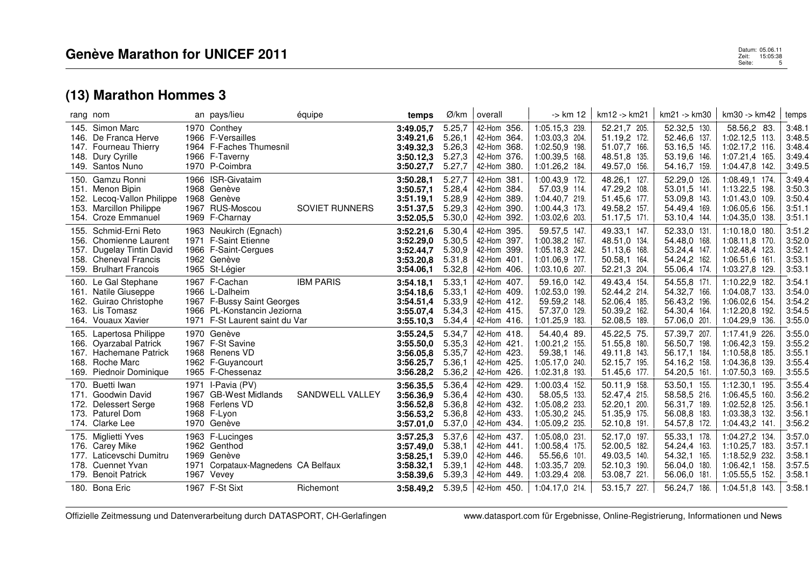|                                      | rang nom                                                                                                                 | an pays/lieu                                                                                                                   | équipe                | temps                                                                      | Ø/km                                                     | overall                                                                                | -> km 12                                                                                               | km12 -> km21                                                                                 | $km21 - > km30$                                                                              | km30 -> km42                                                                                             | temps                                                    |
|--------------------------------------|--------------------------------------------------------------------------------------------------------------------------|--------------------------------------------------------------------------------------------------------------------------------|-----------------------|----------------------------------------------------------------------------|----------------------------------------------------------|----------------------------------------------------------------------------------------|--------------------------------------------------------------------------------------------------------|----------------------------------------------------------------------------------------------|----------------------------------------------------------------------------------------------|----------------------------------------------------------------------------------------------------------|----------------------------------------------------------|
| 148.                                 | 145. Simon Marc<br>146. De Franca Herve<br>147. Fourneau Thierry<br>Dury Cyrille<br>149. Santos Nuno                     | 1970 Conthey<br>1966 F-Versailles<br>1964 F-Faches Thumesnil<br>1966 F-Taverny<br>1970 P-Coimbra                               |                       | 3:49.05.7<br>3:49.21,6<br>3:49.32,3<br>3:50.12,3<br>3:50.27,7              | 5.25,7<br>5.26,1<br>5.26,3<br>5.27,3<br>5.27,7           | 42-Hom 356.<br>42-Hom 364.<br>42-Hom 368.<br>42-Hom<br>376.<br>42-Hom 380.             | 1:05.15,3 239.<br>1:03.03,3 204.<br>1:02.50,9 198.<br>1:00.39,5 168.<br>1:01.26,2 184.                 | 52.21,7 205.<br>51.19,2 172.<br>51.07,7 166.<br>48.51,8 135.<br>49.57,0 156.                 | 52.32,5 130.<br>52.46,6 137.<br>53.16.5 145.<br>53.19,6 146.<br>54.16,7 159.                 | 58.56,2 83.<br>1:02.12.5 113.<br>1:02.17.2 116.<br>1:07.21,4 165.<br>1:04.47,8 142.                      | 3:48.1<br>3:48.5<br>3:48.4<br>3:49.4<br>3:49.5           |
| 152.<br>153.                         | 150. Gamzu Ronni<br>151. Menon Bipin<br>Lecoq-Vallon Philippe<br><b>Marcillon Philippe</b><br>154. Croze Emmanuel        | 1966 ISR-Givataim<br>1968 Genève<br>1968 Genève<br>1967 RUS-Moscou<br>1969 F-Charnay                                           | <b>SOVIET RUNNERS</b> | 3:50.28,1<br>3:50.57.1<br>3:51.19,1<br>3:51.37,5<br>3:52.05,5              | 5.27,7<br>5.28,4<br>5.28,9<br>5.29,3<br>5.30,0           | 42-Hom<br>381<br>42-Hom 384.<br>42-Hom<br>389.<br>42-Hom<br>390.<br>42-Hom 392.        | 1:00.43.9 172.<br>57.03.9 114.<br>1:04.40.7 219.<br>1:00.44,3 173.<br>1:03.02,6 203.                   | 48.26,1 127.<br>47.29,2 108.<br>51.45,6 177.<br>49.58,2 157.<br>51.17,5 171.                 | 52.29,0 126.<br>53.01,5 141.<br>53.09,8 143.<br>54.49,4 169.<br>53.10,4 144.                 | 1:08.49.1 174.<br>1:13.22,5 198.<br>1:01.43,0 109.<br>1:06.05,6 156.<br>1:04.35,0 138.                   | 3:49.4<br>3:50.3<br>3:50.4<br>3:51.1<br>3:51.1           |
| 155.<br>156.<br>157.<br>158.<br>159. | Schmid-Erni Reto<br>Chomienne Laurent<br>Dugelay Tintin David<br><b>Cheneval Francis</b><br><b>Brulhart Francois</b>     | 1963 Neukirch (Egnach)<br>1971 F-Saint Etienne<br>1966 F-Saint-Cergues<br>1962 Genève<br>1965 St-Légier                        |                       | 3:52.21,6<br>3:52.29,0<br>3:52.44,7<br>3:53.20,8<br>3:54.06.1              | 5.30,4<br>5.30.5<br>5.30,9<br>5.31,8<br>5.32,8           | 42-Hom 395.<br>42-Hom<br>397.<br>42-Hom 399.<br>42-Hom 401.<br>42-Hom 406.             | 59.57,5 147<br>1:00.38,2 167.<br>1:05.18,3 242.<br>1:01.06.9 177.<br>1:03.10,6 207.                    | 49.33,1 147.<br>48.51,0 134.<br>51.13,6 168.<br>50.58,1 164.<br>52.21,3 204.                 | 52.33,0 131.<br>54.48,0 168.<br>53.24,4 147.<br>54.24,2 162.<br>55.06,4 174.                 | 1:10.18,0 180.<br>1:08.11.8 170.<br>1:02.48,4 123.<br>1:06.51,6 161.<br>1:03.27,8 129.                   | 3:51.2<br>3:52.0<br>3:52.1<br>3:53.1<br>3:53.1           |
| 162.<br>163.                         | 160. Le Gal Stephane<br>161. Natile Giuseppe<br>Guirao Christophe<br>Lis Tomasz<br>164. Vouaux Xavier                    | 1967 F-Cachan<br>1966 L-Dalheim<br>1967 F-Bussy Saint Georges<br>1966 PL-Konstancin Jeziorna<br>1971 F-St Laurent saint du Var | <b>IBM PARIS</b>      | 3:54.18,1<br>3:54.18,6<br>3:54.51,4<br>3:55.07,4<br>3:55.10.3              | 5.33,1<br>5.33,1<br>5.33,9<br>5.34,3<br>5.34,4           | 42-Hom 407.<br>42-Hom 409.<br>42-Hom 412.<br>42-Hom 415.<br>42-Hom 416.                | 59.16,0 142.<br>1:02.53,0 199.<br>59.59,2 148.<br>57.37,0 129.<br>1:01.25,9 183.                       | 49.43,4 154.<br>52.44,2 214.<br>52.06,4 185.<br>50.39,2 162.<br>52.08,5 189.                 | 54.55,8 171.<br>54.32,7 166.<br>56.43,2 196.<br>54.30,4 164.<br>57.06,0 201.                 | 1:10.22,9 182.<br>1:04.08.7 133.<br>1:06.02,6 154.<br>1:12.20.8 192.<br>1:04.29,9 136.                   | 3:54.1<br>3:54.0<br>3:54.2<br>3:54.5<br>3:55.0           |
| 168.<br>169.                         | 165. Lapertosa Philippe<br>166. Oyarzabal Patrick<br>167. Hachemane Patrick<br>Roche Marc<br>Piednoir Dominique          | 1970 Genève<br>1967 F-St Savine<br>1968 Renens VD<br>1962 F-Guyancourt<br>1965 F-Chessenaz                                     |                       | 3:55.24,5<br>3:55.50,0<br>3:56.05.8<br>3:56.25,7<br>3:56.28,2              | 5.34,7<br>5.35,3<br>5.35,7<br>5.36,1<br>5.36,2           | 42-Hom 418.<br>42-Hom 421.<br>42-Hom 423.<br>42-Hom 425.<br>42-Hom 426.                | 54.40,4 89.<br>1:00.21,2 155.<br>59.38,1 146.<br>1:05.17,0 240.<br>1:02.31,8 193.                      | 45.22,5 75.<br>51.55,8 180.<br>49.11.8 143.<br>52.15,7 195.<br>51.45,6 177.                  | 57.39,7 207.<br>56.50,7 198.<br>56.17,1 184.<br>54.16,2 158.<br>54.20,5 161.                 | 1:17.41,9 226.<br>1:06.42.3 159.<br>1:10.58,8 185<br>1:04.36,8 139.<br>1:07.50,3 169.                    | 3:55.0<br>3:55.2<br>3:55.1<br>3:55.4<br>3:55.5           |
| 171.<br>172.<br>173.                 | 170. Buetti Iwan<br>Goodwin David<br>Delessert Serge<br>Paturel Dom<br>174. Clarke Lee                                   | 1971 I-Pavia (PV)<br>1967 GB-West Midlands<br>1968 Ferlens VD<br>1968 F-Lyon<br>1970 Genève                                    | SANDWELL VALLEY       | 3:56.35,5<br>3:56.36,9<br>3:56.52,8<br>3:56.53,2<br>3:57.01,0              | 5.36,4<br>5.36,4<br>5.36.8<br>5.36,8<br>5.37,0           | 42-Hom 429.<br>42-Hom 430.<br>42-Hom 432.<br>42-Hom 433.<br>42-Hom 434.                | 1:00.03.4 152.<br>58.05,5 133.<br>1:05.08,2 233.<br>1:05.30,2 245.<br>1:05.09,2 235.                   | 50.11,9 158.<br>52.47,4 215.<br>52.20,1 200.<br>51.35,9 175.<br>52.10,8 191.                 | 53.50,1 155.<br>58.58,5 216.<br>56.31,7 189.<br>56.08,8 183.<br>54.57,8 172.                 | 1:12.30,1 195.<br>1:06.45,5 160.<br>1:02.52,8 125<br>1:03.38,3 132.<br>1:04.43,2 141.                    | 3:55.4<br>3:56.2<br>3:56.1<br>3:56.1<br>3:56.2           |
| 176.<br>177.<br>178.                 | 175. Miglietti Yves<br>Carey Mike<br>Laticevschi Dumitru<br><b>Cuennet Yvan</b><br>179. Benoit Patrick<br>180. Bona Eric | 1963 F-Lucinges<br>1962 Genthod<br>1969 Genève<br>1971 Corpataux-Magnedens CA Belfaux<br>1967 Vevey<br>1967 F-St Sixt          | Richemont             | 3:57.25,3<br>3:57.49,0<br>3:58.25,1<br>3:58.32,1<br>3:58.39,6<br>3:58.49.2 | 5.37,6<br>5.38.1<br>5.39,0<br>5.39.1<br>5.39,3<br>5.39,5 | 42-Hom 437.<br>42-Hom 441.<br>42-Hom 446.<br>42-Hom 448.<br>42-Hom 449.<br>42-Hom 450. | 1:05.08,0 231.<br>1:00.58,4 175.<br>55.56,6 101.<br>1:03.35,7 209.<br>1:03.29,4 208.<br>1:04.17,0 214. | 52.17,0 197.<br>52.00,5 182.<br>49.03,5 140.<br>52.10,3 190.<br>53.08,7 221.<br>53.15,7 227. | 55.33,1 178.<br>54.24,4 163.<br>54.32,1 165.<br>56.04,0 180.<br>56.06,0 181.<br>56.24,7 186. | 1:04.27,2 134.<br>1:10.25,7 183.<br>1:18.52,9 232.<br>1:06.42,1 158.<br>1:05.55,5 152.<br>1:04.51,8 143. | 3:57.0<br>3:57.1<br>3:58.1<br>3:57.5<br>3:58.1<br>3:58.1 |
|                                      |                                                                                                                          |                                                                                                                                |                       |                                                                            |                                                          |                                                                                        |                                                                                                        |                                                                                              |                                                                                              |                                                                                                          |                                                          |

Offizielle Zeitmessung und Datenverarbeitung durch DATASPORT, CH-Gerlafingen www.datasport.com für Ergebnisse, Online-Registrierung, Informationen und News

Datum: 05.06.11 **Patum: 05.06.11**<br>2 april - 15:05:38<br>Seite: 15:05:38 Datum: 05.06.11<br>Zeit: 15:05:38<br>Seite: 5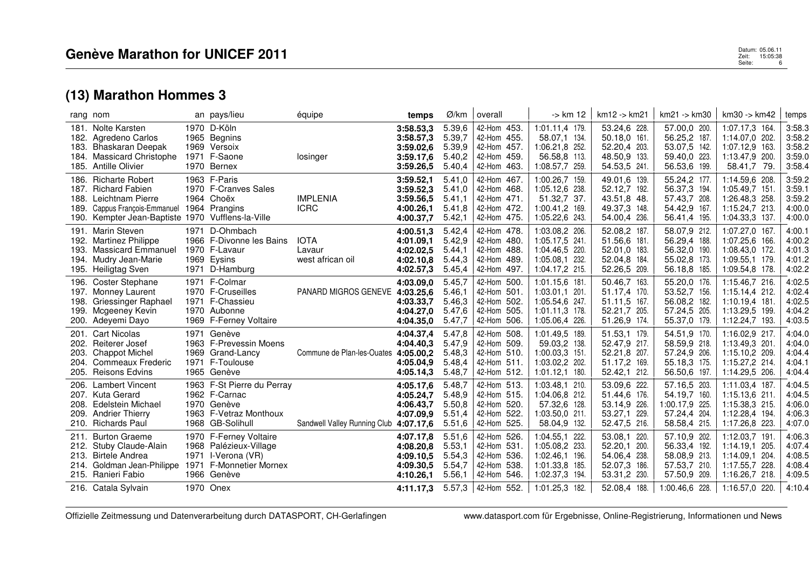| rang nom                     |                                                                                                                                                                   |      | an pays/lieu                                                                                             | équipe                                    | temps                                                                      | Ø/km                                                     | overall                                                                                   | $\rightarrow$ km 12                                                                                      | km12 -> km21                                                                                 | km21 -> km30                                                                                   | km30 -> km42                                                                                             | temps                                                    |
|------------------------------|-------------------------------------------------------------------------------------------------------------------------------------------------------------------|------|----------------------------------------------------------------------------------------------------------|-------------------------------------------|----------------------------------------------------------------------------|----------------------------------------------------------|-------------------------------------------------------------------------------------------|----------------------------------------------------------------------------------------------------------|----------------------------------------------------------------------------------------------|------------------------------------------------------------------------------------------------|----------------------------------------------------------------------------------------------------------|----------------------------------------------------------|
| 182.<br>183.<br>184.<br>185. | 181. Nolte Karsten<br>Agredeno Carlos<br>Bhaskaran Deepak<br><b>Massicard Christophe</b><br><b>Antille Olivier</b>                                                |      | 1970 D-Köln<br>1965 Begnins<br>1969 Versoix<br>1971 F-Saone<br>1970 Bernex                               | losinger                                  | 3:58.53,3<br>3:58.57,3<br>3:59.02.6<br>3:59.17,6<br>3:59.26,5              | 5.39,6<br>5.39,7<br>5.39,9<br>5.40,2<br>5.40,4           | 42-Hom 453.<br>42-Hom 455.<br>42-Hom 457.<br>42-Hom 459.<br>42-Hom 463.                   | 1:01.11,4 179.<br>58.07.1 134.<br>1:06.21.8 252.<br>56.58,8 113.<br>1:08.57,7 259.                       | 53.24,6 228.<br>50.18.0 161.<br>52.20,4 203.<br>48.50,9 133.<br>54.53,5 241.                 | 57.00,0 200.<br>56.25,2 187.<br>53.07,5 142.<br>59.40,0 223.<br>56.53,6 199.                   | 1:07.17,3 164.<br>1:14.07.0 202.<br>1:07.12.9 163.<br>1:13.47,9 200.<br>58.41,7 79.                      | 3:58.3<br>3:58.2<br>3:58.2<br>3:59.0<br>3:58.4           |
| 186.<br>188.<br>189.         | <b>Richarte Robert</b><br>187. Richard Fabien<br>Leichtnam Pierre<br>Cappus François-Emmanuel 1964 Prangins<br>190. Kempter Jean-Baptiste 1970 Vufflens-la-Ville  |      | 1963 F-Paris<br>1970 F-Cranves Sales<br>1964 Choëx                                                       | <b>IMPLENIA</b><br><b>ICRC</b>            | 3:59.52,1<br>3:59.52,3<br>3:59.56,5<br>4:00.26,1<br>4:00.37,7              | 5.41,0<br>5.41,0<br>5.41,1<br>5.41,8<br>5.42,1           | 42-Hom 467.<br>42-Hom 468.<br>42-Hom 471.<br>42-Hom 472.<br>42-Hom 475.                   | 1:00.26.7 159.<br>1:05.12.6 238.<br>51.32,7 37.<br>1:00.41,2 169.<br>1:05.22,6 243.                      | 49.01.6 139.<br>52.12,7 192.<br>43.51,8 48.<br>49.37,3 148.<br>54.00,4 236.                  | 55.24,2 177.<br>56.37,3 194.<br>57.43,7 208.<br>54.42,9 167.<br>56.41,4 195.                   | 1:14.59.6 208.<br>1:05.49,7 151<br>1:26.48.3 258.<br>1:15.24,7 213.<br>1:04.33,3 137.                    | 3:59.2<br>3:59.1<br>3:59.2<br>4:00.0<br>4:00.0           |
| 192.<br>193.                 | 191. Marin Steven<br><b>Martinez Philippe</b><br><b>Massicard Emmanuel</b><br>194. Mudry Jean-Marie<br>195. Heiligtag Sven                                        |      | 1971 D-Ohmbach<br>1966 F-Divonne les Bains<br>1970 F-Lavaur<br>1969 Eysins<br>1971 D-Hamburg             | <b>IOTA</b><br>Lavaur<br>west african oil | 4:00.51,3<br>4:01.09.1<br>4:02.02,5<br>4:02.10.8<br>4:02.57,3              | 5.42,4<br>5.42,9<br>5.44,1<br>5.44,3<br>5.45,4           | 42-Hom 478<br>42-Hom 480.<br>42-Hom 488.<br>42-Hom 489.<br>42-Hom 497.                    | 1:03.08,2 206.<br>1:05.17,5 241.<br>1:04.46,5 220.<br>1:05.08.1 232.<br>1:04.17,2 215.                   | 52.08,2 187.<br>51.56.6 181.<br>52.01,0 183.<br>52.04.8 184.<br>52.26,5 209.                 | 58.07,9 212.<br>56.29,4 188.<br>56.32,0 190.<br>55.02,8 173.<br>56.18,8 185.                   | 1:07.27,0 167.<br>1:07.25,6 166.<br>1:08.43,0 172.<br>1:09.55,1 179.<br>1:09.54,8 178.                   | 4:00.1<br>4:00.2<br>4:01.3<br>4:01.2<br>4:02.2           |
| 196.<br>197.<br>198.<br>199. | <b>Coster Stephane</b><br>Monney Laurent<br>Griessinger Raphael<br>Mcgeeney Kevin<br>200. Adeyemi Dayo                                                            |      | 1971 F-Colmar<br>1970 F-Cruseilles<br>1971 F-Chassieu<br>1970 Aubonne<br>1969 F-Ferney Voltaire          | PANARD MIGROS GENEVE                      | 4:03.09.0<br>4:03.25,6<br>4:03.33.7<br>4:04.27.0<br>4:04.35,0              | 5.45,7<br>5.46.1<br>5.46,3<br>5.47,6<br>5.47,7           | 42-Hom 500.<br>42-Hom 501.<br>42-Hom 502.<br>42-Hom 505.<br>42-Hom 506.                   | 1:01.15.6 181.<br>1:03.01.1 201.<br>1:05.54.6 247.<br>1:01.11.3 178<br>1:05.06,4 226.                    | 50.46,7 163.<br>51.17.4 170.<br>51.11.5 167.<br>52.21,7 205.<br>51.26,9 174.                 | 55.20,0 176.<br>53.52,7 156.<br>56.08,2 182.<br>57.24,5 205.<br>55.37,0 179.                   | 1:15.46,7 216.<br>1:15.14.4 212.<br>1:10.19.4 181.<br>1:13.29.5 199.<br>1:12.24,7 193.                   | 4:02.5<br>4:02.4<br>4:02.5<br>4:04.2<br>4:03.5           |
| 201.<br>202.<br>203.<br>204. | <b>Cart Nicolas</b><br>Reiterer Josef<br><b>Chappot Michel</b><br>Commeaux Frederic<br>205. Reisons Edvins                                                        |      | 1971 Genève<br>1963 F-Prevessin Moens<br>1969 Grand-Lancy<br>1971 F-Toulouse<br>1965 Genève              | Commune de Plan-les-Ouates 4:05.00,2      | 4:04.37,4<br>4:04.40.3<br>4:05.04.9<br>4:05.14,3                           | 5.47,8<br>5.47,9<br>5.48,3<br>5.48,4<br>5.48,7           | 42-Hom 508.<br>42-Hom 509.<br>42-Hom 510.<br>42-Hom 511.<br>42-Hom 512.                   | 1:01.49,5 189.<br>59.03.2 138.<br>1:00.03.3 151.<br>1:03.02,2 202.<br>1:01.12,1 180.                     | 51.53,1 179.<br>52.47.9 217.<br>52.21,8 207.<br>51.17,2 169.<br>52.42,1 212.                 | 54.51,9 170.<br>58.59,9 218.<br>57.24,9 206.<br>55.18,3 175.<br>56.50,6 197.                   | 1:16.02,9 217.<br>1:13.49.3 201.<br>1:15.10.2 209.<br>1:15.27,2 214.<br>1:14.29,5 206.                   | 4:04.0<br>4:04.0<br>4:04.4<br>4:04.1<br>4:04.4           |
| 206.<br>208.<br>209.         | <b>Lambert Vincent</b><br>207. Kuta Gerard<br><b>Edelstein Michael</b><br><b>Andrier Thierry</b><br>210. Richards Paul                                            |      | 1963 F-St Pierre du Perray<br>1962 F-Carnac<br>1970 Genève<br>1963 F-Vetraz Monthoux<br>1968 GB-Solihull | Sandwell Valley Running Club 4:07.17,6    | 4:05.17.6<br>4:05.24,7<br>4:06.43.7<br>4:07.09,9                           | 5.48,7<br>5.48,9<br>5.50,8<br>5.51,4<br>5.51,6           | 42-Hom 513.<br>42-Hom 515.<br>42-Hom 520.<br>42-Hom 522.<br>42-Hom 525.                   | 1:03.48.1 210.<br>1:04.06.8 212.<br>57.32,6 128.<br>1:03.50,0 211.<br>58.04,9 132.                       | 53.09,6 222.<br>51.44,6 176.<br>53.14,9 226.<br>53.27,1 229.<br>52.47,5 216.                 | 57.16,5 203.<br>54.19,7 160.<br>1:00.17,9 225.<br>57.24,4 204.<br>58.58,4 215.                 | 1:11.03.4 187.<br>1:15.13.6 211<br>1:15.38,3 215.<br>1:12.28,4 194.<br>1:17.26,8 223.                    | 4:04.5<br>4:04.5<br>4:06.0<br>4:06.3<br>4:07.0           |
| 211.<br>212.<br>213.<br>214. | <b>Burton Graeme</b><br>Stuby Claude-Alain<br><b>Birtele Andrea</b><br>Goldman Jean-Philippe 1971 F-Monnetier Mornex<br>215. Ranieri Fabio<br>216. Catala Sylvain | 1971 | 1970 F-Ferney Voltaire<br>1968 Palézieux-Village<br>I-Verona (VR)<br>1966 Genève<br>1970 Onex            |                                           | 4:07.17,8<br>4:08.20,8<br>4:09.10,5<br>4:09.30,5<br>4:10.26,1<br>4:11.17.3 | 5.51,6<br>5.53,1<br>5.54,3<br>5.54,7<br>5.56,1<br>5.57.3 | 42-Hom 526.<br>42-Hom 531.<br>536.<br>42-Hom<br>42-Hom 538.<br>42-Hom 546.<br>42-Hom 552. | 1:04.55,1 222.<br>1:05.08,2 233.<br>1:02.46.1 196.<br>1:01.33.8 185.<br>1:02.37,3 194.<br>1:01.25,3 182. | 53.08,1 220.<br>52.20,1 200.<br>54.06,4 238.<br>52.07,3 186.<br>53.31,2 230.<br>52.08,4 188. | 57.10,9 202.<br>56.33,4 192.<br>58.08,9 213.<br>57.53,7 210.<br>57.50,9 209.<br>1:00.46.6 228. | 1:12.03,7 191.<br>1:14.19.1 205.<br>1:14.09.1 204.<br>1:17.55,7 228.<br>1:16.26.7 218.<br>1:16.57,0 220. | 4:06.3<br>4:07.4<br>4:08.5<br>4:08.4<br>4:09.5<br>4:10.4 |

Offizielle Zeitmessung und Datenverarbeitung durch DATASPORT, CH-Gerlafingen www.datasport.com für Ergebnisse, Online-Registrierung, Informationen und News

 Datum: 05.06.11 Zeit: 15:05:38 Datum: 05.06.11<br>Zeit: 15:05:38<br>Seite: 6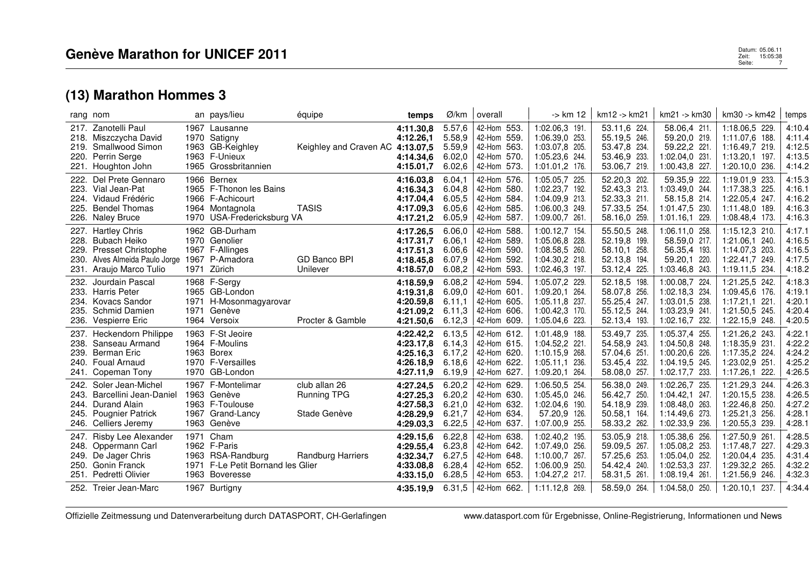| rang nom                                                                                                                                                            |      | an pays/lieu                                                                                                           | équipe                                              | temps                                                                      | Ø/km                                                     | overall                                                                                | -> km 12                                                                                                | km12 -> km21                                                                                 | km21 -> km30                                                                                             | km30 -> km42                                                                                            | temps                                                    |
|---------------------------------------------------------------------------------------------------------------------------------------------------------------------|------|------------------------------------------------------------------------------------------------------------------------|-----------------------------------------------------|----------------------------------------------------------------------------|----------------------------------------------------------|----------------------------------------------------------------------------------------|---------------------------------------------------------------------------------------------------------|----------------------------------------------------------------------------------------------|----------------------------------------------------------------------------------------------------------|---------------------------------------------------------------------------------------------------------|----------------------------------------------------------|
| Zanotelli Paul<br>217.<br>218. Miszczycha David<br>Smallwood Simon<br>219.<br>220.<br>Perrin Serge<br>221.<br>Houghton John                                         |      | 1967 Lausanne<br>1970 Satigny<br>1963 GB-Keighley<br>1963 F-Unieux<br>1965 Grossbritannien                             | Keighley and Craven AC 4:13.07,5                    | 4:11.30.8<br>4:12.26,1<br>4:14.34,6<br>4:15.01.7                           | 5.57,6<br>5.58,9<br>5.59,9<br>6.02,0<br>6.02,6           | 42-Hom 553.<br>42-Hom 559.<br>42-Hom 563.<br>42-Hom 570.<br>42-Hom 573.                | 1:02.06,3 191.<br>1:06.39,0 253.<br>1:03.07.8 205.<br>1:05.23,6 244.<br>1:01.01,2 176.                  | 53.11,6 224.<br>55.19,5 246.<br>53.47,8 234.<br>53.46,9 233.<br>53.06,7 219.                 | 58.06,4 211.<br>59.20,0 219.<br>59.22,2 221.<br>1:02.04,0 231.<br>1:00.43,8 227.                         | 1:18.06,5 229.<br>1:11.07.6 188.<br>1:16.49,7 219.<br>1:13.20,1 197.<br>1:20.10.0 236.                  | 4:10.4<br>4:11.4<br>4:12.5<br>4:13.5<br>4:14.2           |
| Del Prete Gennaro<br>222.<br>223.<br>Vial Jean-Pat<br>224.<br>Vidaud Frédéric<br><b>Bendel Thomas</b><br>225.<br>226. Naley Bruce                                   |      | 1966 Bernex<br>1965 F-Thonon les Bains<br>1966 F-Achicourt<br>1964 Montagnola<br>1970 USA-Fredericksburg VA            | <b>TASIS</b>                                        | 4:16.03,8<br>4:16.34.3<br>4:17.04.4<br>4:17.09.3<br>4:17.21,2              | 6.04,1<br>6.04,8<br>6.05,5<br>6.05.6<br>6.05,9           | 42-Hom 576.<br>42-Hom 580.<br>42-Hom 584.<br>42-Hom 585.<br>42-Hom 587.                | 1:05.05,7 225.<br>1:02.23,7 192.<br>1:04.09.9 213.<br>1:06.00,3 249.<br>1:09.00,7 261.                  | 52.20,3 202.<br>52.43.3 213.<br>52.33,3 211.<br>57.33,5 254<br>58.16,0 259.                  | 59.35,9 222.<br>1:03.49.0 244.<br>58.15.8 214.<br>1:01.47.5 230.<br>1:01.16,1 229.                       | 1:19.01,9 233.<br>1:17.38.3 225.<br>1:22.05.4 247.<br>1:11.48.0 189.<br>1:08.48,4 173.                  | 4:15.3<br>4:16.1<br>4:16.2<br>4:16.3<br>4:16.3           |
| <b>Hartley Chris</b><br>227.<br>228.<br>Bubach Heiko<br>229.<br><b>Presset Christophe</b><br>230.<br>Alves Almeida Paulo Jorge<br>231. Araujo Marco Tulio           |      | 1962 GB-Durham<br>1970 Genolier<br>1967 F-Allinges<br>1967 P-Amadora<br>1971 Zürich                                    | GD Banco BPI<br>Unilever                            | 4:17.26,5<br>4:17.31.7<br>4:17.51,3<br>4:18.45.8<br>4:18.57,0              | 6.06,0<br>6.06.1<br>6.06.6<br>6.07,9<br>6.08,2           | 42-Hom 588.<br>42-Hom 589.<br>42-Hom 590.<br>42-Hom 592.<br>42-Hom<br>593.             | 1:00.12,7 154.<br>1:05.06.8 228.<br>1:08.58,5 260.<br>1:04.30,2 218.<br>1:02.46,3 197.                  | 55.50,5 248.<br>52.19.8 199.<br>58.10.1 258.<br>52.13,8 194.<br>53.12,4 225.                 | 1:06.11,0 258.<br>58.59,0 217.<br>56.35,4 193.<br>59.20,1 220.<br>1:03.46,8 243.                         | 1:15.12,3 210.<br>1:21.06.1 240.<br>1:14.07.3 203.<br>1:22.41,7 249.<br>1:19.11,5 234.                  | 4:17.1<br>4:16.5<br>4:16.5<br>4:17.5<br>4:18.2           |
| Jourdain Pascal<br>232.<br>233.<br><b>Harris Peter</b><br><b>Kovacs Sandor</b><br>234.<br>235.<br><b>Schmid Damien</b><br>236.<br>Vespierre Eric                    | 1971 | 1968 F-Sergy<br>1965 GB-London<br>1971 H-Mosonmagyarovar<br>Genève<br>1964 Versoix                                     | Procter & Gamble                                    | 4:18.59,9<br>4:19.31.8<br>4:20.59.8<br>4:21.09.2<br>4:21.50,6              | 6.08,2<br>6.09,0<br>6.11,1<br>6.11,3<br>6.12,3           | 42-Hom 594.<br>42-Hom 601.<br>42-Hom 605.<br>42-Hom 606.<br>42-Hom 609.                | 1:05.07,2 229.<br>1:09.20,1 264.<br>1:05.11,8 237.<br>1:00.42,3 170.<br>1:05.04,6 223.                  | 52.18,5 198.<br>58.07,8 256.<br>55.25,4 247.<br>55.12,5 244.<br>52.13,4 193.                 | 1:00.08.7 224.<br>1:02.18,3 234.<br>1:03.01,5 238.<br>1:03.23,9 241.<br>1:02.16,7 232.                   | 1:21.25,5 242.<br>1:09.45.6 176.<br>1:17.21,1 221.<br>1:21.50,5 245.<br>1:22.15,9 248.                  | 4:18.3<br>4:19.1<br>4:20.1<br>4:20.4<br>4:20.5           |
| <b>Heckendorn Philippe</b><br>237.<br>Sanseau Armand<br>238.<br><b>Berman Eric</b><br>239.<br>240.<br><b>Foual Arnaud</b><br>Copeman Tony<br>241.                   |      | 1963 F-St Jeoire<br>1964 F-Moulins<br>1963 Borex<br>1970 F-Versailles<br>1970 GB-London                                |                                                     | 4:22.42,2<br>4:23.17,8<br>4:25.16,3<br>4:26.18,9<br>4:27.11,9              | 6.13,5<br>6.14,3<br>6.17,2<br>6.18.6<br>6.19.9           | 42-Hom 612.<br>42-Hom 615.<br>42-Hom 620.<br>42-Hom 622.<br>42-Hom 627.                | 1:01.48,9 188.<br>1:04.52,2 221<br>1:10.15.9 268.<br>1:05.11,1 236.<br>1:09.20,1 264.                   | 53.49,7 235.<br>54.58,9 243.<br>57.04,6 251<br>53.45,4 232.<br>58.08,0 257.                  | 1:05.37,4 255.<br>1:04.50,8 248.<br>1:00.20,6 226.<br>1:04.19,5 245.<br>1:02.17,7 233.                   | 1:21.26,2 243.<br>1:18.35,9 231<br>1:17.35,2 224.<br>1:23.02,9 251<br>1:17.26.1 222.                    | 4:22.1<br>4:22.2<br>4:24.2<br>4:25.2<br>4:26.5           |
| Soler Jean-Michel<br>242.<br>Barcellini Jean-Daniel<br>243.<br>244.<br>Durand Alain<br>245.<br><b>Pougnier Patrick</b><br>246. Celliers Jeremy                      |      | 1967 F-Montelimar<br>1963 Genève<br>1963 F-Toulouse<br>1967 Grand-Lancy<br>1963 Genève                                 | club allan 26<br><b>Running TPG</b><br>Stade Genève | 4:27.24,5<br>4:27.25,3<br>4:27.58,3<br>4:28.29,9<br>4:29.03,3              | 6.20,2<br>6.20,2<br>6.21,0<br>6.21,7<br>6.22,5           | 42-Hom 629<br>42-Hom 630.<br>42-Hom 632.<br>42-Hom 634.<br>42-Hom 637.                 | 1:06.50.5 254.<br>1:05.45.0 246.<br>1:02.04,6 190.<br>57.20,9 126.<br>1:07.00,9 255.                    | 56.38,0 249.<br>56.42,7 250.<br>54.18,9 239.<br>50.58,1 164.<br>58.33,2 262.                 | 1:02.26,7 235.<br>1:04.42,1 247.<br>1:08.48.0 263.<br>1:14.49.6 273.<br>1:02.33,9 236.                   | 1:21.29,3 244.<br>1:20.15.5 238.<br>1:22.46,8 250<br>1:25.21,3 256.<br>1:20.55,3 239.                   | 4:26.3<br>4:26.5<br>4:27.2<br>4:28.1<br>4:28.1           |
| <b>Risby Lee Alexander</b><br>247.<br>248.<br>Oppermann Carl<br>249.<br>De Jager Chris<br>250.<br>Gonin Franck<br>Pedretti Olivier<br>251.<br>252. Treier Jean-Marc |      | 1971 Cham<br>1962 F-Paris<br>1963 RSA-Randburg<br>1971 F-Le Petit Bornand les Glier<br>1963 Boveresse<br>1967 Burtigny | Randburg Harriers                                   | 4:29.15,6<br>4:29.55,4<br>4:32.34,7<br>4:33.08,8<br>4:33.15,0<br>4:35.19.9 | 6.22,8<br>6.23,8<br>6.27,5<br>6.28,4<br>6.28,5<br>6.31.5 | 42-Hom 638.<br>42-Hom 642.<br>42-Hom 648.<br>42-Hom 652.<br>42-Hom 653.<br>42-Hom 662. | 1:02.40,2 195.<br>1:07.49,0 256.<br>1:10.00.7 267.<br>1:06.00.9 250.<br>1:04.27,2 217.<br>1:11.12.8 269 | 53.05,9 218.<br>59.09,5 267.<br>57.25,6 253.<br>54.42,4 240.<br>58.31.5 261.<br>58.59,0 264. | 1:05.38,6 256.<br>1:05.08,2 253.<br>1:05.04,0 252.<br>1:02.53,3 237.<br>1:08.19.4 261.<br>1:04.58.0 250. | 1:27.50,9 261<br>1:17.48,7 227.<br>1:20.04,4 235.<br>1:29.32,2 265.<br>1:21.56.9 246.<br>1:20.10.1 237. | 4:28.5<br>4:29.3<br>4:31.4<br>4:32.2<br>4:32.3<br>4:34.4 |
|                                                                                                                                                                     |      |                                                                                                                        |                                                     |                                                                            |                                                          |                                                                                        |                                                                                                         |                                                                                              |                                                                                                          |                                                                                                         |                                                          |

 $\mathbf{r}$ 

Offizielle Zeitmessung und Datenverarbeitung durch DATASPORT, CH-Gerlafingen www.datasport.com für Ergebnisse, Online-Registrierung, Informationen und News

Datum: 05.06.11 **Patum: 05.06.11**<br>2 april - 15:05:38<br>Seite: 15:05:38 Datum: 05.06.11<br>Zeit: 15:05:38<br>Seite: 7